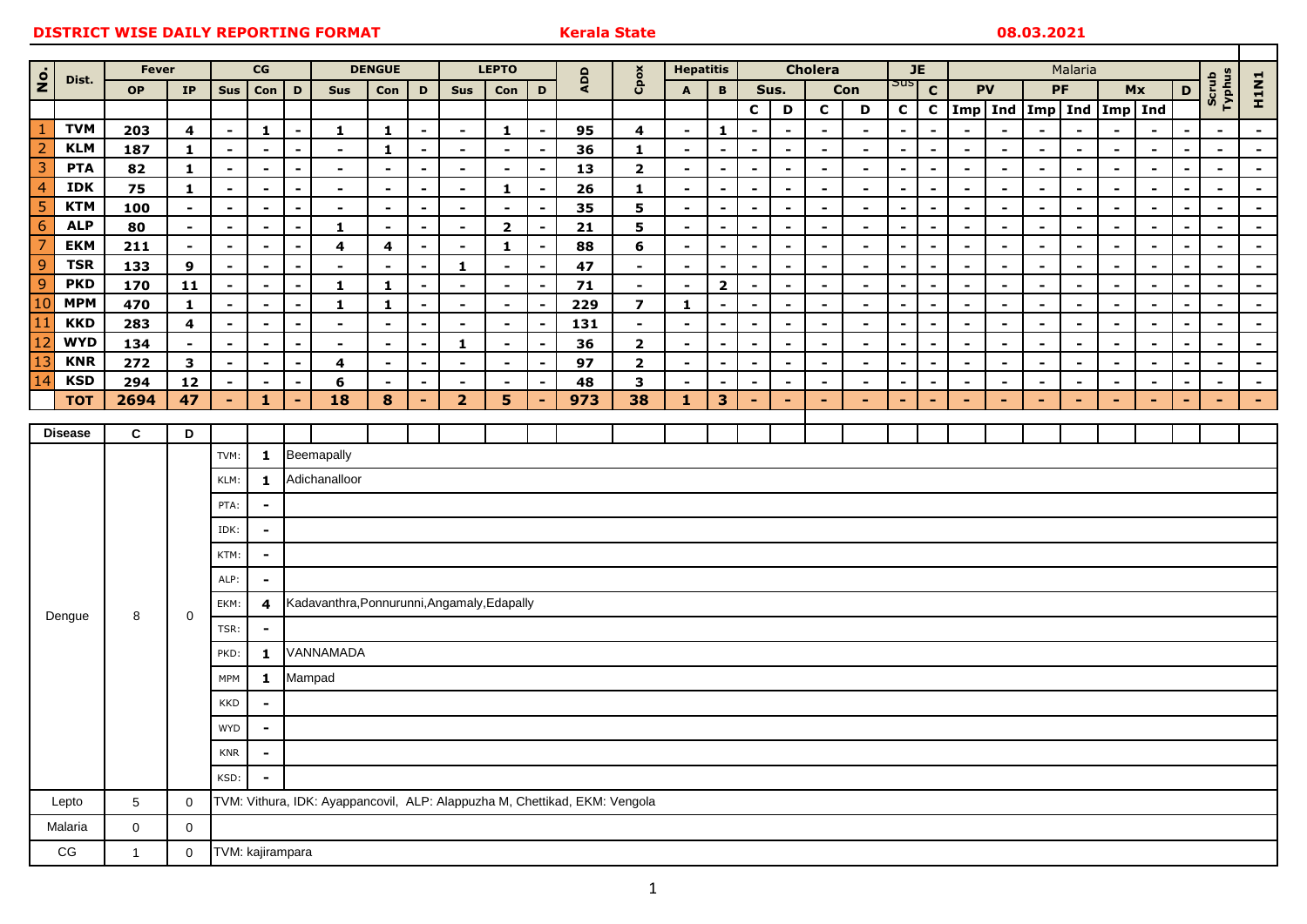|                                  |                          | <b>Fever</b>        |                                                                                                | CG                   |                                            |                                    | <b>DENGUE</b>                               |                                |                                            | <b>LEPTO</b>             |                                  |                                  |          | <b>Hepatitis</b>         |                                            | <b>Cholera</b>                            |                                                      |                                                      | JE                               |                          | Malaria                          |                                  |                                  |                                  |                                    |                                            |                                            |                                  |                                            |                          |                  |
|----------------------------------|--------------------------|---------------------|------------------------------------------------------------------------------------------------|----------------------|--------------------------------------------|------------------------------------|---------------------------------------------|--------------------------------|--------------------------------------------|--------------------------|----------------------------------|----------------------------------|----------|--------------------------|--------------------------------------------|-------------------------------------------|------------------------------------------------------|------------------------------------------------------|----------------------------------|--------------------------|----------------------------------|----------------------------------|----------------------------------|----------------------------------|------------------------------------|--------------------------------------------|--------------------------------------------|----------------------------------|--------------------------------------------|--------------------------|------------------|
| $\dot{\mathbf{e}}$               | Dist.                    | <b>OP</b>           | IP                                                                                             | <b>Sus</b>           | Con                                        | D                                  | Sus                                         | Con                            | D                                          | <b>Sus</b>               | D<br>Con                         |                                  | ADD      | Cpos                     | $\mathbf B$<br>A                           |                                           | Sus.<br>Con                                          |                                                      |                                  |                          | $\mathbf{C}$                     | <b>PV</b>                        |                                  | PF                               |                                    |                                            | Mx                                         |                                  | Scrub<br>Typhus                            | <b>H1N1</b>              |                  |
|                                  |                          |                     |                                                                                                |                      |                                            |                                    |                                             |                                |                                            |                          |                                  |                                  |          |                          |                                            |                                           | $\mathbf c$                                          | D                                                    | $\mathbf c$                      | D                        | $\mathbf{C}$                     | $\mathbf{C}$                     |                                  |                                  | Imp   Ind   Imp   Ind   Imp   Ind  |                                            |                                            |                                  |                                            |                          |                  |
| $\mathbf{1}$                     | <b>TVM</b>               | 203                 | $\overline{\mathbf{4}}$                                                                        | $\blacksquare$       | $\mathbf{1}$                               | $\sim$                             | $\mathbf 1$                                 | $\mathbf{1}$                   | $\blacksquare$                             | $\blacksquare$           | $\mathbf 1$                      |                                  | 95       | $\overline{\mathbf{4}}$  | $\blacksquare$                             | $\mathbf{1}$                              | $\overline{\phantom{0}}$                             | $\blacksquare$                                       | $\blacksquare$                   | $\blacksquare$           | $\overline{a}$                   | $\blacksquare$                   | $\overline{\phantom{a}}$         |                                  |                                    |                                            |                                            |                                  | $\overline{a}$                             | $\blacksquare$           | $\blacksquare$   |
| $\overline{2}$                   | <b>KLM</b>               | 187                 | $\mathbf{1}$                                                                                   | $\blacksquare$       | $\blacksquare$                             | $\sim$                             | $\blacksquare$                              | $\mathbf{1}$                   | $\blacksquare$                             | $\blacksquare$           | $\blacksquare$                   | $\sim$                           | 36       | $\mathbf{1}$             | $\blacksquare$                             | $\blacksquare$                            | $\blacksquare$                                       | $\sim$                                               | $\blacksquare$                   | $\blacksquare$           | $\blacksquare$                   | $\blacksquare$                   | $\overline{\phantom{a}}$         | $\blacksquare$                   | $\blacksquare$                     | $\blacksquare$                             | $\blacksquare$                             | $\blacksquare$                   | $\blacksquare$                             | $\blacksquare$           | $\sim$           |
| $\overline{3}$                   | <b>PTA</b>               | 82                  | $\mathbf{1}$                                                                                   | $\blacksquare$       | $\blacksquare$                             | $\sim$                             | $\blacksquare$                              | $\overline{\phantom{a}}$       | $\blacksquare$                             | $\blacksquare$           | $\blacksquare$                   | $\blacksquare$                   | 13       | $\overline{\mathbf{2}}$  | $\blacksquare$                             | $\blacksquare$                            | $\blacksquare$                                       | $\blacksquare$                                       | $\blacksquare$                   | $\blacksquare$           | $\blacksquare$                   | $\blacksquare$                   | $\blacksquare$                   | $\blacksquare$                   | $\sim$                             | $\blacksquare$                             | $\blacksquare$                             | $\blacksquare$                   | $\sim$                                     | $\blacksquare$           | $\sim$           |
| $\overline{4}$                   | <b>IDK</b>               | 75                  | $\mathbf{1}$                                                                                   | $\blacksquare$       | $\overline{\phantom{0}}$                   | $\overline{\phantom{a}}$           | $\blacksquare$                              | $\overline{\phantom{0}}$       | $\blacksquare$                             | $\blacksquare$           | 1                                | $\overline{\phantom{0}}$         | 26       | $\mathbf{1}$             | $\overline{\phantom{a}}$                   | $\overline{a}$                            | $\overline{\phantom{0}}$                             | $\blacksquare$                                       | $\overline{a}$                   | $\blacksquare$           | $\overline{\phantom{0}}$         | $\blacksquare$                   | $\blacksquare$                   | $\overline{\phantom{0}}$         | $\blacksquare$                     | $\overline{\phantom{0}}$                   | $\blacksquare$                             | $\overline{\phantom{0}}$         | $\overline{\phantom{0}}$                   | $\overline{\phantom{0}}$ | $\sim$           |
| $\overline{5}$                   | <b>KTM</b>               | 100                 | $\blacksquare$                                                                                 | $\overline{a}$       | $\overline{\phantom{0}}$                   | $\overline{\phantom{0}}$           | $\sim$                                      | $\overline{\phantom{0}}$       |                                            | $\sim$                   | $\blacksquare$                   |                                  | 35       | $5\phantom{a}$           | $\blacksquare$                             | $\blacksquare$                            | $\overline{\phantom{0}}$                             | $\overline{\phantom{0}}$                             | $\overline{\phantom{0}}$         | $\sim$                   | $\overline{\phantom{0}}$         | $\overline{a}$                   | $\overline{\phantom{a}}$         | $\overline{\phantom{a}}$         | $\blacksquare$                     | $\overline{\phantom{0}}$                   | $\blacksquare$                             | $\overline{\phantom{a}}$         | $\overline{\phantom{0}}$                   | $\overline{\phantom{0}}$ | $\sim$           |
| 6                                | <b>ALP</b><br><b>EKM</b> | 80                  | $\sim$                                                                                         | $\blacksquare$       | $\blacksquare$                             | $\blacksquare$                     | $\mathbf{1}$                                | $\blacksquare$                 | $\blacksquare$                             | $\blacksquare$           | $\overline{2}$                   | $\blacksquare$                   | 21       | $5\phantom{a}$           | $\blacksquare$                             | $\blacksquare$                            | $\blacksquare$                                       | $\overline{\phantom{a}}$                             | $\blacksquare$                   | $\overline{\phantom{a}}$ | $\blacksquare$                   | $\blacksquare$                   | $\blacksquare$                   | $\blacksquare$                   | $\sim$                             | $\blacksquare$                             | $\blacksquare$                             | $\blacksquare$                   | $\overline{\phantom{0}}$                   | $\blacksquare$           | $\sim$           |
| $\overline{7}$<br>$\overline{9}$ | <b>TSR</b>               | 211                 | $\blacksquare$                                                                                 | $\blacksquare$       | $\blacksquare$                             | $\sim$                             | $\overline{\mathbf{4}}$                     | $\overline{\mathbf{4}}$        | $\overline{\phantom{0}}$                   | $\blacksquare$           | $\mathbf{1}$                     | $\overline{\phantom{a}}$         | 88       | $6\phantom{1}$           | $\sim$                                     | $\blacksquare$                            | $\overline{\phantom{a}}$                             | $\sim$                                               | $\blacksquare$                   | $\blacksquare$           | $\overline{\phantom{0}}$         | $\overline{\phantom{a}}$         | $\blacksquare$                   | $\blacksquare$                   | $\sim$                             | $\sim$                                     | $\blacksquare$                             | $\blacksquare$                   | $\overline{\phantom{a}}$                   | $\blacksquare$           | $\sim$           |
| $\overline{9}$                   | <b>PKD</b>               | 133<br>170          | 9<br>11                                                                                        | $\blacksquare$       | $\blacksquare$<br>$\overline{\phantom{a}}$ | $\overline{\phantom{a}}$<br>$\sim$ | $\blacksquare$<br>$\mathbf{1}$              | $\blacksquare$<br>$\mathbf{1}$ | $\overline{\phantom{a}}$<br>$\blacksquare$ | $\mathbf{1}$<br>$\sim$   | $\blacksquare$<br>$\blacksquare$ | $\blacksquare$<br>$\blacksquare$ | 47<br>71 | $\blacksquare$<br>$\sim$ | $\blacksquare$<br>$\overline{\phantom{a}}$ | $\blacksquare$<br>$\overline{\mathbf{2}}$ | $\overline{\phantom{a}}$<br>$\overline{\phantom{a}}$ | $\overline{\phantom{a}}$<br>$\overline{\phantom{a}}$ | $\blacksquare$<br>$\blacksquare$ | $\blacksquare$<br>$\sim$ | $\blacksquare$<br>$\blacksquare$ | $\blacksquare$<br>$\blacksquare$ | $\blacksquare$<br>$\blacksquare$ | $\blacksquare$<br>$\blacksquare$ | $\sim$<br>$\overline{\phantom{a}}$ | $\blacksquare$<br>$\overline{\phantom{a}}$ | $\blacksquare$<br>$\overline{\phantom{a}}$ | $\blacksquare$<br>$\blacksquare$ | $\blacksquare$<br>$\overline{\phantom{0}}$ | $\blacksquare$           | $\sim$<br>$\sim$ |
| 10                               | <b>MPM</b>               | 470                 | $\mathbf{1}$                                                                                   | $\blacksquare$       | $\blacksquare$                             | $\blacksquare$                     | $\mathbf{1}$                                | $\mathbf{1}$                   | $\blacksquare$                             | $\blacksquare$           | $\blacksquare$                   |                                  | 229      | $\overline{ }$           | $\mathbf{1}$                               | $\blacksquare$                            |                                                      | $\overline{\phantom{a}}$                             | $\overline{\phantom{a}}$         | $\blacksquare$           |                                  | $\overline{\phantom{a}}$         | $\blacksquare$                   | $\blacksquare$                   | $\blacksquare$                     | $\blacksquare$                             | $\blacksquare$                             | $\blacksquare$                   |                                            |                          | $\blacksquare$   |
| 11                               | <b>KKD</b>               | 283                 | $\overline{\mathbf{4}}$                                                                        | $\blacksquare$       | $\blacksquare$                             | $\overline{\phantom{0}}$           | $\blacksquare$                              | $\overline{\phantom{a}}$       | $\blacksquare$                             | $\blacksquare$           | $\blacksquare$                   |                                  | 131      | $\blacksquare$           | $\blacksquare$                             | $\blacksquare$                            | $\overline{\phantom{a}}$                             | $\blacksquare$                                       | $\blacksquare$                   | $\sim$                   | $\blacksquare$                   | $\blacksquare$                   | $\blacksquare$                   | $\blacksquare$                   | $\overline{\phantom{a}}$           | $\blacksquare$                             | $\blacksquare$                             | $\blacksquare$                   | $\overline{\phantom{0}}$                   | $\blacksquare$           | $\sim$           |
| 12                               | <b>WYD</b>               | 134                 | $\blacksquare$                                                                                 | $\blacksquare$       | $\blacksquare$                             | $\sim$                             | $\blacksquare$                              | $\blacksquare$                 | $\blacksquare$                             | $\mathbf{1}$             | $\blacksquare$                   | $\blacksquare$                   | 36       | $\overline{\mathbf{2}}$  | $\blacksquare$                             | $\blacksquare$                            | $\blacksquare$                                       | $\sim$                                               | $\blacksquare$                   | $\sim$                   | $\overline{\phantom{0}}$         | $\overline{\phantom{a}}$         | $\overline{\phantom{a}}$         | $\blacksquare$                   | $\blacksquare$                     | $\sim$                                     | $\sim$                                     | $\sim$                           | $\blacksquare$                             | $\blacksquare$           | $\sim$ $^{-1}$   |
| 13                               | <b>KNR</b>               | 272                 | $\mathbf{3}$                                                                                   | $\blacksquare$       | $\blacksquare$                             | $\sim$                             | 4                                           | $\blacksquare$                 | $\blacksquare$                             | $\blacksquare$           | $\blacksquare$                   | $\blacksquare$                   | 97       | $\overline{2}$           | $\blacksquare$                             | $\blacksquare$                            | $\blacksquare$                                       | $\blacksquare$                                       | $\blacksquare$                   | $\blacksquare$           | $\blacksquare$                   | $\blacksquare$                   | $\blacksquare$                   | $\blacksquare$                   | $\sim$                             | $\sim$                                     | $\blacksquare$                             | $\blacksquare$                   | $\sim$                                     | $\blacksquare$           | $\sim$           |
| 14                               | <b>KSD</b>               | 294                 | 12                                                                                             | $\blacksquare$       | $\overline{\phantom{a}}$                   | $\overline{\phantom{a}}$           | 6                                           | $\overline{\phantom{a}}$       |                                            | $\overline{\phantom{a}}$ |                                  |                                  | 48       | $\mathbf{3}$             | $\blacksquare$                             | $\blacksquare$                            | $\overline{\phantom{a}}$                             | $\overline{\phantom{a}}$                             | $\blacksquare$                   | $\blacksquare$           |                                  | $\overline{\phantom{0}}$         | $\blacksquare$                   | $\overline{\phantom{a}}$         | $\blacksquare$                     | $\blacksquare$                             | $\overline{\phantom{a}}$                   | $\blacksquare$                   | $\overline{a}$                             |                          | $\sim$           |
|                                  | <b>TOT</b>               | 2694                | 47                                                                                             | $\blacksquare$       | 1.                                         | $\blacksquare$                     | $\overline{18}$                             | 8                              | ٠                                          | 2 <sup>1</sup>           | 5 <sup>5</sup>                   | ٠                                | 973      | 38                       | 1                                          | 3                                         | $\overline{\phantom{a}}$                             | ÷                                                    | $\blacksquare$                   | $\sim$                   | ٠                                | $\sim$                           | $\blacksquare$                   | $\blacksquare$                   | $\sim$                             | ÷                                          | $\sim$                                     | $\sim$                           |                                            | $\sim$                   | $\blacksquare$   |
|                                  |                          |                     |                                                                                                |                      |                                            |                                    |                                             |                                |                                            |                          |                                  |                                  |          |                          |                                            |                                           |                                                      |                                                      |                                  |                          |                                  |                                  |                                  |                                  |                                    |                                            |                                            |                                  |                                            |                          |                  |
| <b>Disease</b>                   |                          | $\mathbf{c}$        | D                                                                                              |                      |                                            |                                    |                                             |                                |                                            |                          |                                  |                                  |          |                          |                                            |                                           |                                                      |                                                      |                                  |                          |                                  |                                  |                                  |                                  |                                    |                                            |                                            |                                  |                                            |                          |                  |
|                                  |                          |                     |                                                                                                | TVM:                 | $\mathbf{1}$                               |                                    | Beemapally                                  |                                |                                            |                          |                                  |                                  |          |                          |                                            |                                           |                                                      |                                                      |                                  |                          |                                  |                                  |                                  |                                  |                                    |                                            |                                            |                                  |                                            |                          |                  |
|                                  |                          |                     |                                                                                                | KLM:                 | $\mathbf{1}$                               |                                    | Adichanalloor                               |                                |                                            |                          |                                  |                                  |          |                          |                                            |                                           |                                                      |                                                      |                                  |                          |                                  |                                  |                                  |                                  |                                    |                                            |                                            |                                  |                                            |                          |                  |
|                                  |                          |                     |                                                                                                | PTA:                 | $\blacksquare$                             |                                    |                                             |                                |                                            |                          |                                  |                                  |          |                          |                                            |                                           |                                                      |                                                      |                                  |                          |                                  |                                  |                                  |                                  |                                    |                                            |                                            |                                  |                                            |                          |                  |
|                                  |                          |                     |                                                                                                | IDK:                 | $\blacksquare$                             |                                    |                                             |                                |                                            |                          |                                  |                                  |          |                          |                                            |                                           |                                                      |                                                      |                                  |                          |                                  |                                  |                                  |                                  |                                    |                                            |                                            |                                  |                                            |                          |                  |
|                                  |                          |                     |                                                                                                | KTM:                 | $\blacksquare$                             |                                    |                                             |                                |                                            |                          |                                  |                                  |          |                          |                                            |                                           |                                                      |                                                      |                                  |                          |                                  |                                  |                                  |                                  |                                    |                                            |                                            |                                  |                                            |                          |                  |
|                                  |                          |                     |                                                                                                | ALP:                 | $\blacksquare$                             |                                    |                                             |                                |                                            |                          |                                  |                                  |          |                          |                                            |                                           |                                                      |                                                      |                                  |                          |                                  |                                  |                                  |                                  |                                    |                                            |                                            |                                  |                                            |                          |                  |
| Dengue                           |                          | 8                   | 0                                                                                              |                      |                                            |                                    | Kadavanthra, Ponnurunni, Angamaly, Edapally |                                |                                            |                          |                                  |                                  |          |                          |                                            |                                           |                                                      |                                                      |                                  |                          |                                  |                                  |                                  |                                  |                                    |                                            |                                            |                                  |                                            |                          |                  |
|                                  |                          |                     |                                                                                                | EKM:                 | 4                                          |                                    |                                             |                                |                                            |                          |                                  |                                  |          |                          |                                            |                                           |                                                      |                                                      |                                  |                          |                                  |                                  |                                  |                                  |                                    |                                            |                                            |                                  |                                            |                          |                  |
|                                  |                          |                     |                                                                                                | TSR:                 | $\blacksquare$                             |                                    |                                             |                                |                                            |                          |                                  |                                  |          |                          |                                            |                                           |                                                      |                                                      |                                  |                          |                                  |                                  |                                  |                                  |                                    |                                            |                                            |                                  |                                            |                          |                  |
|                                  |                          |                     |                                                                                                | PKD:<br>$\mathbf{1}$ |                                            | VANNAMADA                          |                                             |                                |                                            |                          |                                  |                                  |          |                          |                                            |                                           |                                                      |                                                      |                                  |                          |                                  |                                  |                                  |                                  |                                    |                                            |                                            |                                  |                                            |                          |                  |
|                                  |                          |                     |                                                                                                | <b>MPM</b>           | $\mathbf{1}$                               | Mampad                             |                                             |                                |                                            |                          |                                  |                                  |          |                          |                                            |                                           |                                                      |                                                      |                                  |                          |                                  |                                  |                                  |                                  |                                    |                                            |                                            |                                  |                                            |                          |                  |
|                                  |                          |                     |                                                                                                | <b>KKD</b>           | $\blacksquare$                             |                                    |                                             |                                |                                            |                          |                                  |                                  |          |                          |                                            |                                           |                                                      |                                                      |                                  |                          |                                  |                                  |                                  |                                  |                                    |                                            |                                            |                                  |                                            |                          |                  |
|                                  |                          |                     |                                                                                                | <b>WYD</b>           |                                            |                                    |                                             |                                |                                            |                          |                                  |                                  |          |                          |                                            |                                           |                                                      |                                                      |                                  |                          |                                  |                                  |                                  |                                  |                                    |                                            |                                            |                                  |                                            |                          |                  |
|                                  |                          |                     |                                                                                                | <b>KNR</b>           | $\blacksquare$                             |                                    |                                             |                                |                                            |                          |                                  |                                  |          |                          |                                            |                                           |                                                      |                                                      |                                  |                          |                                  |                                  |                                  |                                  |                                    |                                            |                                            |                                  |                                            |                          |                  |
|                                  |                          |                     |                                                                                                |                      |                                            |                                    |                                             |                                |                                            |                          |                                  |                                  |          |                          |                                            |                                           |                                                      |                                                      |                                  |                          |                                  |                                  |                                  |                                  |                                    |                                            |                                            |                                  |                                            |                          |                  |
|                                  |                          |                     |                                                                                                | KSD:                 |                                            |                                    |                                             |                                |                                            |                          |                                  |                                  |          |                          |                                            |                                           |                                                      |                                                      |                                  |                          |                                  |                                  |                                  |                                  |                                    |                                            |                                            |                                  |                                            |                          |                  |
|                                  | Lepto                    | $5\phantom{.0}$     | TVM: Vithura, IDK: Ayappancovil, ALP: Alappuzha M, Chettikad, EKM: Vengola<br>$\boldsymbol{0}$ |                      |                                            |                                    |                                             |                                |                                            |                          |                                  |                                  |          |                          |                                            |                                           |                                                      |                                                      |                                  |                          |                                  |                                  |                                  |                                  |                                    |                                            |                                            |                                  |                                            |                          |                  |
|                                  | Malaria                  | $\mathsf{O}\xspace$ | $\mathbf 0$                                                                                    |                      |                                            |                                    |                                             |                                |                                            |                          |                                  |                                  |          |                          |                                            |                                           |                                                      |                                                      |                                  |                          |                                  |                                  |                                  |                                  |                                    |                                            |                                            |                                  |                                            |                          |                  |
|                                  | CG                       | $\mathbf{1}$        | $\pmb{0}$                                                                                      | TVM: kajirampara     |                                            |                                    |                                             |                                |                                            |                          |                                  |                                  |          |                          |                                            |                                           |                                                      |                                                      |                                  |                          |                                  |                                  |                                  |                                  |                                    |                                            |                                            |                                  |                                            |                          |                  |